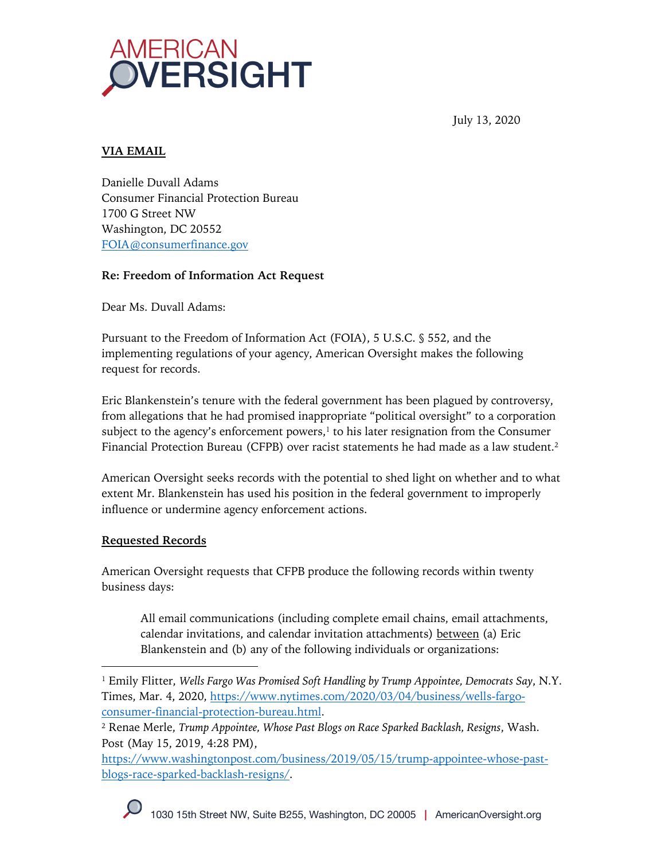

July 13, 2020

# **VIA EMAIL**

Danielle Duvall Adams Consumer Financial Protection Bureau 1700 G Street NW Washington, DC 20552 FOIA@consumerfinance.gov

## **Re: Freedom of Information Act Request**

Dear Ms. Duvall Adams:

Pursuant to the Freedom of Information Act (FOIA), 5 U.S.C. § 552, and the implementing regulations of your agency, American Oversight makes the following request for records.

Eric Blankenstein's tenure with the federal government has been plagued by controversy, from allegations that he had promised inappropriate "political oversight" to a corporation subject to the agency's enforcement powers, $1$  to his later resignation from the Consumer Financial Protection Bureau (CFPB) over racist statements he had made as a law student. 2

American Oversight seeks records with the potential to shed light on whether and to what extent Mr. Blankenstein has used his position in the federal government to improperly influence or undermine agency enforcement actions.

## **Requested Records**

American Oversight requests that CFPB produce the following records within twenty business days:

All email communications (including complete email chains, email attachments, calendar invitations, and calendar invitation attachments) between (a) Eric Blankenstein and (b) any of the following individuals or organizations:

https://www.washingtonpost.com/business/2019/05/15/trump-appointee-whose-pastblogs-race-sparked-backlash-resigns/.

<sup>1</sup> Emily Flitter, *Wells Fargo Was Promised Soft Handling by Trump Appointee, Democrats Say*, N.Y. Times, Mar. 4, 2020, https://www.nytimes.com/2020/03/04/business/wells-fargoconsumer-financial-protection-bureau.html.

<sup>2</sup> Renae Merle, *Trump Appointee, Whose Past Blogs on Race Sparked Backlash, Resigns*, Wash. Post (May 15, 2019, 4:28 PM),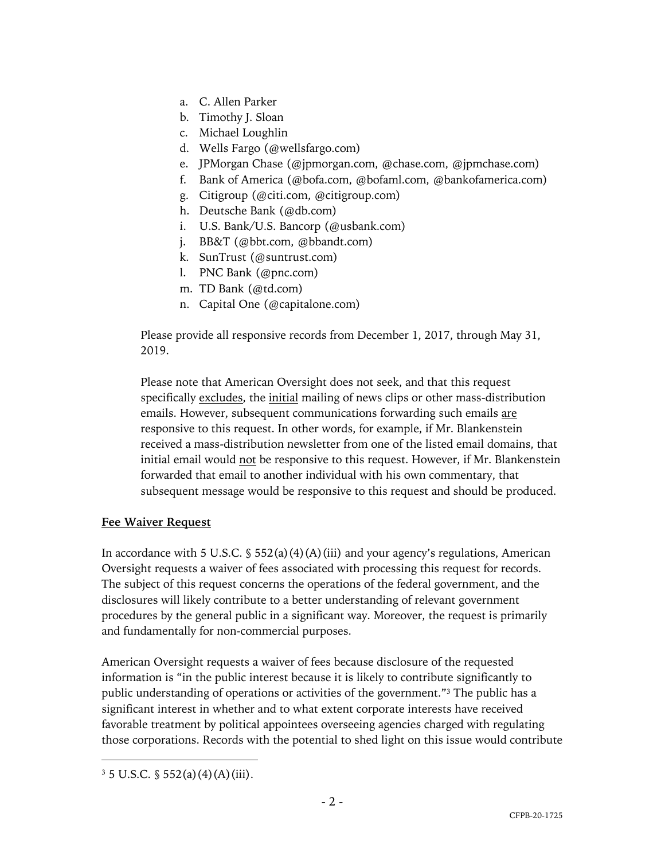- a. C. Allen Parker
- b. Timothy J. Sloan
- c. Michael Loughlin
- d. Wells Fargo (@wellsfargo.com)
- e. JPMorgan Chase (@jpmorgan.com, @chase.com, @jpmchase.com)
- f. Bank of America (@bofa.com, @bofaml.com, @bankofamerica.com)
- g. Citigroup (@citi.com, @citigroup.com)
- h. Deutsche Bank (@db.com)
- i. U.S. Bank/U.S. Bancorp (@usbank.com)
- j. BB&T (@bbt.com, @bbandt.com)
- k. SunTrust (@suntrust.com)
- l. PNC Bank (@pnc.com)
- m. TD Bank (@td.com)
- n. Capital One (@capitalone.com)

Please provide all responsive records from December 1, 2017, through May 31, 2019.

Please note that American Oversight does not seek, and that this request specifically excludes, the initial mailing of news clips or other mass-distribution emails. However, subsequent communications forwarding such emails are responsive to this request. In other words, for example, if Mr. Blankenstein received a mass-distribution newsletter from one of the listed email domains, that initial email would not be responsive to this request. However, if Mr. Blankenstein forwarded that email to another individual with his own commentary, that subsequent message would be responsive to this request and should be produced.

#### **Fee Waiver Request**

In accordance with 5 U.S.C.  $\S$  552(a)(4)(A)(iii) and your agency's regulations, American Oversight requests a waiver of fees associated with processing this request for records. The subject of this request concerns the operations of the federal government, and the disclosures will likely contribute to a better understanding of relevant government procedures by the general public in a significant way. Moreover, the request is primarily and fundamentally for non-commercial purposes.

American Oversight requests a waiver of fees because disclosure of the requested information is "in the public interest because it is likely to contribute significantly to public understanding of operations or activities of the government."<sup>3</sup> The public has a significant interest in whether and to what extent corporate interests have received favorable treatment by political appointees overseeing agencies charged with regulating those corporations. Records with the potential to shed light on this issue would contribute

 $3\,5$  U.S.C.  $\S$  552(a)(4)(A)(iii).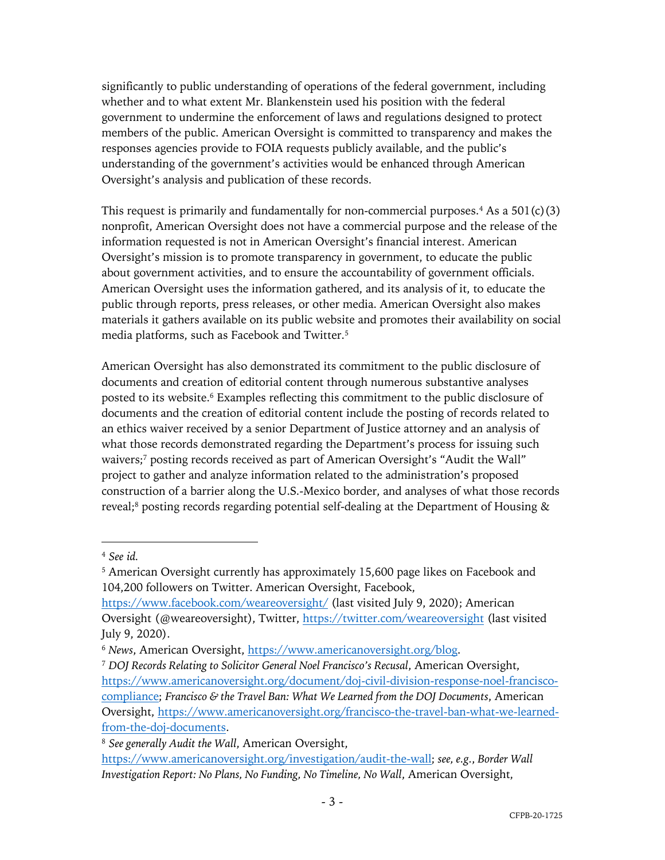significantly to public understanding of operations of the federal government, including whether and to what extent Mr. Blankenstein used his position with the federal government to undermine the enforcement of laws and regulations designed to protect members of the public. American Oversight is committed to transparency and makes the responses agencies provide to FOIA requests publicly available, and the public's understanding of the government's activities would be enhanced through American Oversight's analysis and publication of these records.

This request is primarily and fundamentally for non-commercial purposes.<sup>4</sup> As a  $501(c)(3)$ nonprofit, American Oversight does not have a commercial purpose and the release of the information requested is not in American Oversight's financial interest. American Oversight's mission is to promote transparency in government, to educate the public about government activities, and to ensure the accountability of government officials. American Oversight uses the information gathered, and its analysis of it, to educate the public through reports, press releases, or other media. American Oversight also makes materials it gathers available on its public website and promotes their availability on social media platforms, such as Facebook and Twitter.5

American Oversight has also demonstrated its commitment to the public disclosure of documents and creation of editorial content through numerous substantive analyses posted to its website.<sup>6</sup> Examples reflecting this commitment to the public disclosure of documents and the creation of editorial content include the posting of records related to an ethics waiver received by a senior Department of Justice attorney and an analysis of what those records demonstrated regarding the Department's process for issuing such waivers;<sup>7</sup> posting records received as part of American Oversight's "Audit the Wall" project to gather and analyze information related to the administration's proposed construction of a barrier along the U.S.-Mexico border, and analyses of what those records reveal;<sup>8</sup> posting records regarding potential self-dealing at the Department of Housing &

<sup>5</sup> American Oversight currently has approximately 15,600 page likes on Facebook and 104,200 followers on Twitter. American Oversight, Facebook,

<sup>4</sup> *See id.*

https://www.facebook.com/weareoversight/ (last visited July 9, 2020); American Oversight (@weareoversight), Twitter, https://twitter.com/weareoversight (last visited July 9, 2020).

<sup>6</sup> *News*, American Oversight, https://www.americanoversight.org/blog.

<sup>7</sup> *DOJ Records Relating to Solicitor General Noel Francisco's Recusal*, American Oversight, https://www.americanoversight.org/document/doj-civil-division-response-noel-franciscocompliance; *Francisco & the Travel Ban: What We Learned from the DOJ Documents*, American Oversight, https://www.americanoversight.org/francisco-the-travel-ban-what-we-learnedfrom-the-doj-documents.

<sup>8</sup> *See generally Audit the Wall*, American Oversight,

https://www.americanoversight.org/investigation/audit-the-wall; *see, e.g.*, *Border Wall Investigation Report: No Plans, No Funding, No Timeline, No Wall*, American Oversight,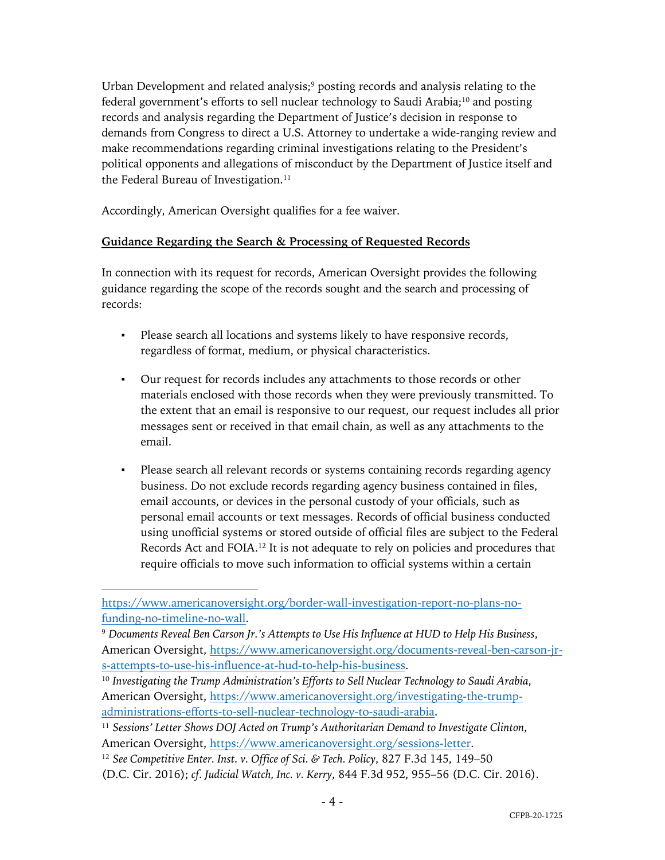Urban Development and related analysis;<sup>9</sup> posting records and analysis relating to the federal government's efforts to sell nuclear technology to Saudi Arabia;<sup>10</sup> and posting records and analysis regarding the Department of Justice's decision in response to demands from Congress to direct a U.S. Attorney to undertake a wide-ranging review and make recommendations regarding criminal investigations relating to the President's political opponents and allegations of misconduct by the Department of Justice itself and the Federal Bureau of Investigation.<sup>11</sup>

Accordingly, American Oversight qualifies for a fee waiver.

### **Guidance Regarding the Search & Processing of Requested Records**

In connection with its request for records, American Oversight provides the following guidance regarding the scope of the records sought and the search and processing of records:

- Please search all locations and systems likely to have responsive records, regardless of format, medium, or physical characteristics.
- Our request for records includes any attachments to those records or other materials enclosed with those records when they were previously transmitted. To the extent that an email is responsive to our request, our request includes all prior messages sent or received in that email chain, as well as any attachments to the email.
- Please search all relevant records or systems containing records regarding agency business. Do not exclude records regarding agency business contained in files, email accounts, or devices in the personal custody of your officials, such as personal email accounts or text messages. Records of official business conducted using unofficial systems or stored outside of official files are subject to the Federal Records Act and FOIA.12 It is not adequate to rely on policies and procedures that require officials to move such information to official systems within a certain

https://www.americanoversight.org/border-wall-investigation-report-no-plans-nofunding-no-timeline-no-wall.

<sup>9</sup> *Documents Reveal Ben Carson Jr.'s Attempts to Use His Influence at HUD to Help His Business*, American Oversight, https://www.americanoversight.org/documents-reveal-ben-carson-jrs-attempts-to-use-his-influence-at-hud-to-help-his-business.

<sup>10</sup> *Investigating the Trump Administration's Efforts to Sell Nuclear Technology to Saudi Arabia*, American Oversight, https://www.americanoversight.org/investigating-the-trumpadministrations-efforts-to-sell-nuclear-technology-to-saudi-arabia.

<sup>11</sup> *Sessions' Letter Shows DOJ Acted on Trump's Authoritarian Demand to Investigate Clinton*, American Oversight, https://www.americanoversight.org/sessions-letter.

<sup>12</sup> *See Competitive Enter. Inst. v. Office of Sci. & Tech. Policy*, 827 F.3d 145, 149–50

<sup>(</sup>D.C. Cir. 2016); *cf. Judicial Watch, Inc. v. Kerry*, 844 F.3d 952, 955–56 (D.C. Cir. 2016).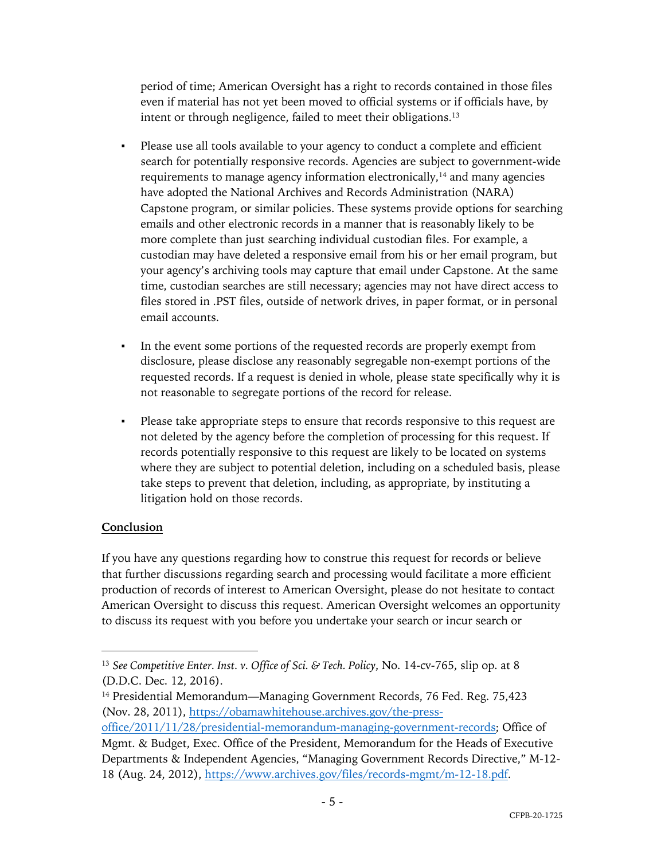period of time; American Oversight has a right to records contained in those files even if material has not yet been moved to official systems or if officials have, by intent or through negligence, failed to meet their obligations.<sup>13</sup>

- Please use all tools available to your agency to conduct a complete and efficient search for potentially responsive records. Agencies are subject to government-wide requirements to manage agency information electronically,<sup>14</sup> and many agencies have adopted the National Archives and Records Administration (NARA) Capstone program, or similar policies. These systems provide options for searching emails and other electronic records in a manner that is reasonably likely to be more complete than just searching individual custodian files. For example, a custodian may have deleted a responsive email from his or her email program, but your agency's archiving tools may capture that email under Capstone. At the same time, custodian searches are still necessary; agencies may not have direct access to files stored in .PST files, outside of network drives, in paper format, or in personal email accounts.
- In the event some portions of the requested records are properly exempt from disclosure, please disclose any reasonably segregable non-exempt portions of the requested records. If a request is denied in whole, please state specifically why it is not reasonable to segregate portions of the record for release.
- Please take appropriate steps to ensure that records responsive to this request are not deleted by the agency before the completion of processing for this request. If records potentially responsive to this request are likely to be located on systems where they are subject to potential deletion, including on a scheduled basis, please take steps to prevent that deletion, including, as appropriate, by instituting a litigation hold on those records.

## **Conclusion**

If you have any questions regarding how to construe this request for records or believe that further discussions regarding search and processing would facilitate a more efficient production of records of interest to American Oversight, please do not hesitate to contact American Oversight to discuss this request. American Oversight welcomes an opportunity to discuss its request with you before you undertake your search or incur search or

<sup>13</sup> *See Competitive Enter. Inst. v. Office of Sci. & Tech. Policy*, No. 14-cv-765, slip op. at 8 (D.D.C. Dec. 12, 2016).

<sup>&</sup>lt;sup>14</sup> Presidential Memorandum—Managing Government Records, 76 Fed. Reg. 75,423 (Nov. 28, 2011), https://obamawhitehouse.archives.gov/the-press-

office/2011/11/28/presidential-memorandum-managing-government-records; Office of Mgmt. & Budget, Exec. Office of the President, Memorandum for the Heads of Executive Departments & Independent Agencies, "Managing Government Records Directive," M-12- 18 (Aug. 24, 2012), https://www.archives.gov/files/records-mgmt/m-12-18.pdf.